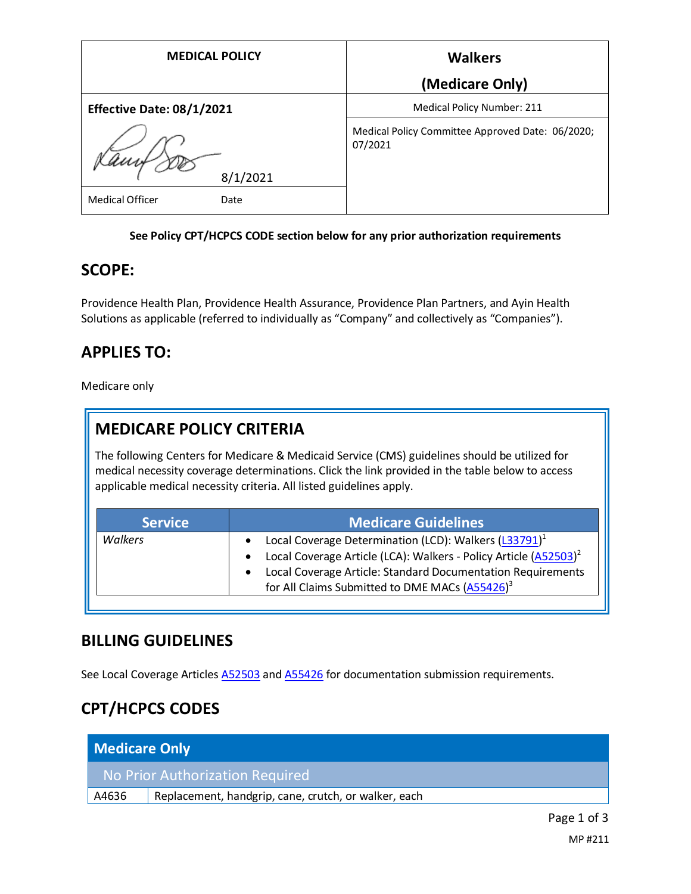| <b>MEDICAL POLICY</b>            | <b>Walkers</b>                                              |
|----------------------------------|-------------------------------------------------------------|
|                                  | (Medicare Only)                                             |
| <b>Effective Date: 08/1/2021</b> | <b>Medical Policy Number: 211</b>                           |
| 8/1/2021                         | Medical Policy Committee Approved Date: 06/2020;<br>07/2021 |
| <b>Medical Officer</b><br>Date   |                                                             |

#### **See Policy CPT/HCPCS CODE section below for any prior authorization requirements**

#### **SCOPE:**

Providence Health Plan, Providence Health Assurance, Providence Plan Partners, and Ayin Health Solutions as applicable (referred to individually as "Company" and collectively as "Companies").

### **APPLIES TO:**

Medicare only

## **MEDICARE POLICY CRITERIA**

The following Centers for Medicare & Medicaid Service (CMS) guidelines should be utilized for medical necessity coverage determinations. Click the link provided in the table below to access applicable medical necessity criteria. All listed guidelines apply.

| <b>Service</b> | <b>Medicare Guidelines</b>                                                     |
|----------------|--------------------------------------------------------------------------------|
| Walkers        | Local Coverage Determination (LCD): Walkers (L33791) <sup>1</sup><br>$\bullet$ |
|                | Local Coverage Article (LCA): Walkers - Policy Article (A52503) <sup>2</sup>   |
|                | Local Coverage Article: Standard Documentation Requirements                    |
|                | for All Claims Submitted to DME MACs (A55426) <sup>3</sup>                     |

### **BILLING GUIDELINES**

See Local Coverage Articles [A52503](https://www.cms.gov/medicare-coverage-database/details/article-details.aspx?articleId=52503) and [A55426](https://www.cms.gov/medicare-coverage-database/details/article-details.aspx?articleId=55426) for documentation submission requirements.

# **CPT/HCPCS CODES**

| <b>Medicare Only</b>            |                                                      |
|---------------------------------|------------------------------------------------------|
| No Prior Authorization Required |                                                      |
| A4636                           | Replacement, handgrip, cane, crutch, or walker, each |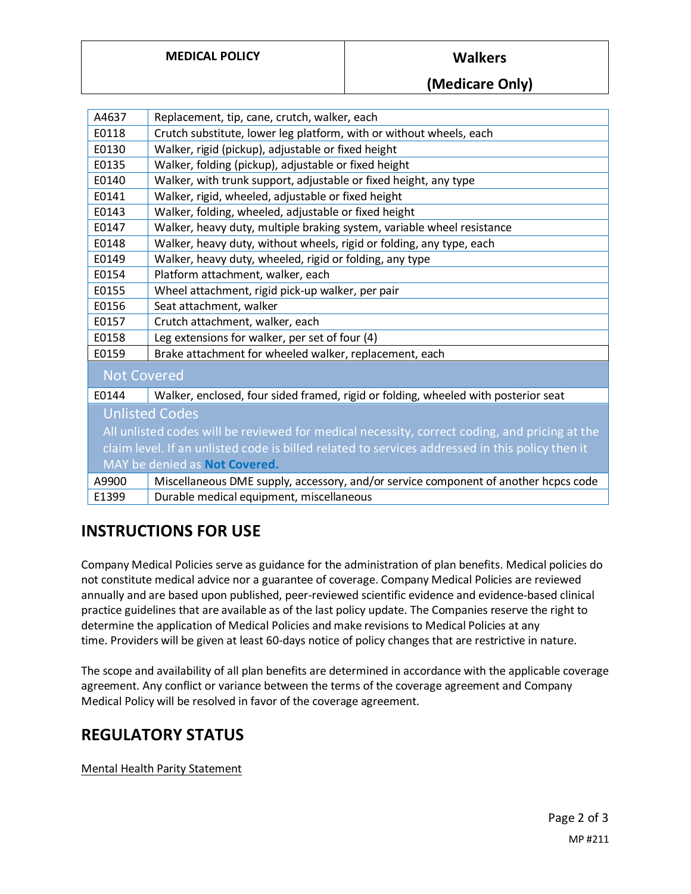**(Medicare Only)**

| A4637                                                                                           | Replacement, tip, cane, crutch, walker, each                                        |
|-------------------------------------------------------------------------------------------------|-------------------------------------------------------------------------------------|
| E0118                                                                                           | Crutch substitute, lower leg platform, with or without wheels, each                 |
| E0130                                                                                           | Walker, rigid (pickup), adjustable or fixed height                                  |
| E0135                                                                                           | Walker, folding (pickup), adjustable or fixed height                                |
| E0140                                                                                           | Walker, with trunk support, adjustable or fixed height, any type                    |
| E0141                                                                                           | Walker, rigid, wheeled, adjustable or fixed height                                  |
| E0143                                                                                           | Walker, folding, wheeled, adjustable or fixed height                                |
| E0147                                                                                           | Walker, heavy duty, multiple braking system, variable wheel resistance              |
| E0148                                                                                           | Walker, heavy duty, without wheels, rigid or folding, any type, each                |
| E0149                                                                                           | Walker, heavy duty, wheeled, rigid or folding, any type                             |
| E0154                                                                                           | Platform attachment, walker, each                                                   |
| E0155                                                                                           | Wheel attachment, rigid pick-up walker, per pair                                    |
| E0156                                                                                           | Seat attachment, walker                                                             |
| E0157                                                                                           | Crutch attachment, walker, each                                                     |
| E0158                                                                                           | Leg extensions for walker, per set of four (4)                                      |
| E0159                                                                                           | Brake attachment for wheeled walker, replacement, each                              |
| <b>Not Covered</b>                                                                              |                                                                                     |
| E0144                                                                                           | Walker, enclosed, four sided framed, rigid or folding, wheeled with posterior seat  |
| <b>Unlisted Codes</b>                                                                           |                                                                                     |
| All unlisted codes will be reviewed for medical necessity, correct coding, and pricing at the   |                                                                                     |
| claim level. If an unlisted code is billed related to services addressed in this policy then it |                                                                                     |
| MAY be denied as Not Covered.                                                                   |                                                                                     |
| A9900                                                                                           | Miscellaneous DME supply, accessory, and/or service component of another hcpcs code |
| E1399                                                                                           | Durable medical equipment, miscellaneous                                            |

### **INSTRUCTIONS FOR USE**

Company Medical Policies serve as guidance for the administration of plan benefits. Medical policies do not constitute medical advice nor a guarantee of coverage. Company Medical Policies are reviewed annually and are based upon published, peer-reviewed scientific evidence and evidence-based clinical practice guidelines that are available as of the last policy update. The Companies reserve the right to determine the application of Medical Policies and make revisions to Medical Policies at any time. Providers will be given at least 60-days notice of policy changes that are restrictive in nature.

The scope and availability of all plan benefits are determined in accordance with the applicable coverage agreement. Any conflict or variance between the terms of the coverage agreement and Company Medical Policy will be resolved in favor of the coverage agreement.

#### **REGULATORY STATUS**

Mental Health Parity Statement